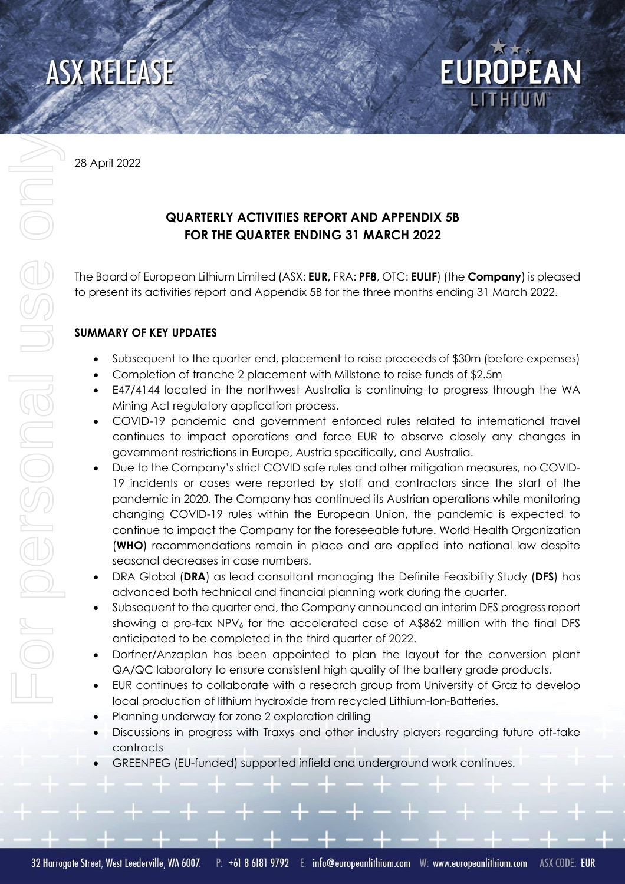

28 April 2022

# **QUARTERLY ACTIVITIES REPORT AND APPENDIX 5B FOR THE QUARTER ENDING 31 MARCH 2022**

The Board of European Lithium Limited (ASX: **EUR,** FRA: **PF8**, OTC: **EULIF**) (the **Company**) is pleased to present its activities report and Appendix 5B for the three months ending 31 March 2022.

**EUROPEAN** 

# **SUMMARY OF KEY UPDATES**

- Subsequent to the quarter end, placement to raise proceeds of \$30m (before expenses)
- Completion of tranche 2 placement with Millstone to raise funds of \$2.5m
- E47/4144 located in the northwest Australia is continuing to progress through the WA Mining Act regulatory application process.
- COVID-19 pandemic and government enforced rules related to international travel continues to impact operations and force EUR to observe closely any changes in government restrictions in Europe, Austria specifically, and Australia.
- Due to the Company's strict COVID safe rules and other mitigation measures, no COVID-19 incidents or cases were reported by staff and contractors since the start of the pandemic in 2020. The Company has continued its Austrian operations while monitoring changing COVID-19 rules within the European Union, the pandemic is expected to continue to impact the Company for the foreseeable future. World Health Organization (**WHO**) recommendations remain in place and are applied into national law despite seasonal decreases in case numbers.
- DRA Global (**DRA**) as lead consultant managing the Definite Feasibility Study (**DFS**) has advanced both technical and financial planning work during the quarter.
- Subsequent to the quarter end, the Company announced an interim DFS progress report showing a pre-tax NPV<sub>6</sub> for the accelerated case of A\$862 million with the final DFS anticipated to be completed in the third quarter of 2022.
- Dorfner/Anzaplan has been appointed to plan the layout for the conversion plant QA/QC laboratory to ensure consistent high quality of the battery grade products.
- EUR continues to collaborate with a research group from University of Graz to develop local production of lithium hydroxide from recycled Lithium-Ion-Batteries.
- Planning underway for zone 2 exploration drilling
- Discussions in progress with Traxys and other industry players regarding future off-take contracts
- GREENPEG (EU-funded) supported infield and underground work continues.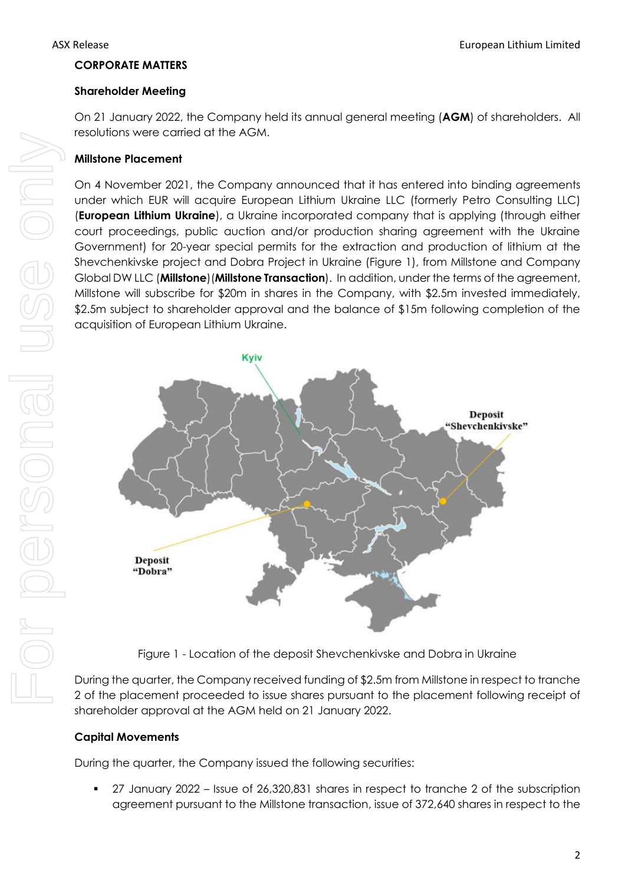#### **CORPORATE MATTERS**

#### **Shareholder Meeting**

On 21 January 2022, the Company held its annual general meeting (**AGM**) of shareholders. All resolutions were carried at the AGM.

#### **Millstone Placement**

On 4 November 2021, the Company announced that it has entered into binding agreements under which EUR will acquire European Lithium Ukraine LLC (formerly Petro Consulting LLC) (**European Lithium Ukraine**), a Ukraine incorporated company that is applying (through either court proceedings, public auction and/or production sharing agreement with the Ukraine Government) for 20-year special permits for the extraction and production of lithium at the Shevchenkivske project and Dobra Project in Ukraine (Figure 1), from Millstone and Company Global DW LLC (**Millstone**)(**Millstone Transaction**). In addition, under the terms of the agreement, Millstone will subscribe for \$20m in shares in the Company, with \$2.5m invested immediately, \$2.5m subject to shareholder approval and the balance of \$15m following completion of the acquisition of European Lithium Ukraine.



Figure 1 - Location of the deposit Shevchenkivske and Dobra in Ukraine

During the quarter, the Company received funding of \$2.5m from Millstone in respect to tranche 2 of the placement proceeded to issue shares pursuant to the placement following receipt of shareholder approval at the AGM held on 21 January 2022.

#### **Capital Movements**

During the quarter, the Company issued the following securities:

27 January 2022 – Issue of 26,320,831 shares in respect to tranche 2 of the subscription agreement pursuant to the Millstone transaction, issue of 372,640 shares in respect to the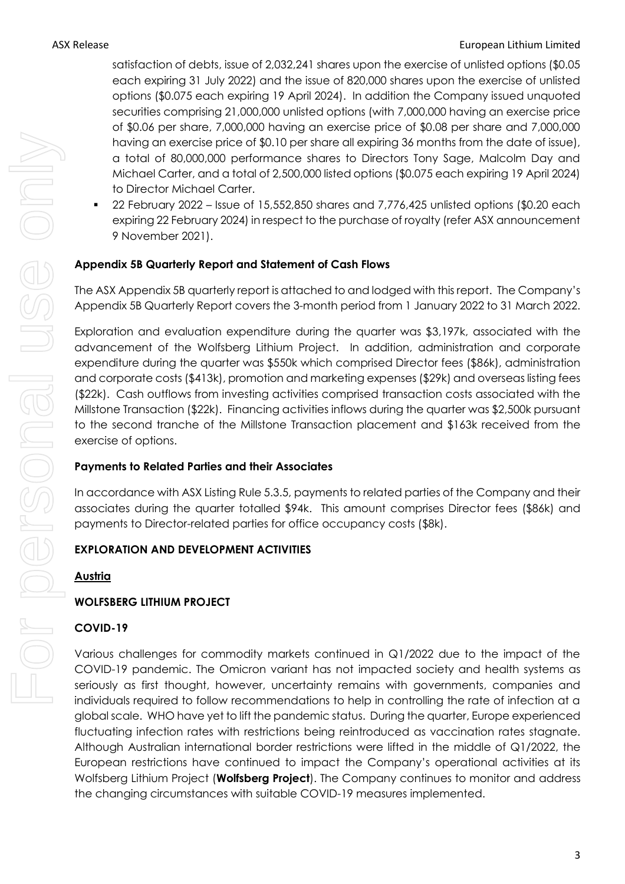satisfaction of debts, issue of 2,032,241 shares upon the exercise of unlisted options (\$0.05 each expiring 31 July 2022) and the issue of 820,000 shares upon the exercise of unlisted options (\$0.075 each expiring 19 April 2024). In addition the Company issued unquoted securities comprising 21,000,000 unlisted options (with 7,000,000 having an exercise price of \$0.06 per share, 7,000,000 having an exercise price of \$0.08 per share and 7,000,000 having an exercise price of \$0.10 per share all expiring 36 months from the date of issue), a total of 80,000,000 performance shares to Directors Tony Sage, Malcolm Day and Michael Carter, and a total of 2,500,000 listed options (\$0.075 each expiring 19 April 2024) to Director Michael Carter.

▪ 22 February 2022 – Issue of 15,552,850 shares and 7,776,425 unlisted options (\$0.20 each expiring 22 February 2024) in respect to the purchase of royalty (refer ASX announcement 9 November 2021).

# **Appendix 5B Quarterly Report and Statement of Cash Flows**

The ASX Appendix 5B quarterly report is attached to and lodged with this report. The Company's Appendix 5B Quarterly Report covers the 3-month period from 1 January 2022 to 31 March 2022.

Exploration and evaluation expenditure during the quarter was \$3,197k, associated with the advancement of the Wolfsberg Lithium Project. In addition, administration and corporate expenditure during the quarter was \$550k which comprised Director fees (\$86k), administration and corporate costs (\$413k), promotion and marketing expenses (\$29k) and overseas listing fees (\$22k). Cash outflows from investing activities comprised transaction costs associated with the Millstone Transaction (\$22k). Financing activities inflows during the quarter was \$2,500k pursuant to the second tranche of the Millstone Transaction placement and \$163k received from the exercise of options.

#### **Payments to Related Parties and their Associates**

In accordance with ASX Listing Rule 5.3.5, payments to related parties of the Company and their associates during the quarter totalled \$94k. This amount comprises Director fees (\$86k) and payments to Director-related parties for office occupancy costs (\$8k).

#### **EXPLORATION AND DEVELOPMENT ACTIVITIES**

#### **Austria**

#### **WOLFSBERG LITHIUM PROJECT**

#### **COVID-19**

Various challenges for commodity markets continued in Q1/2022 due to the impact of the COVID-19 pandemic. The Omicron variant has not impacted society and health systems as seriously as first thought, however, uncertainty remains with governments, companies and individuals required to follow recommendations to help in controlling the rate of infection at a global scale. WHO have yet to lift the pandemic status. During the quarter, Europe experienced fluctuating infection rates with restrictions being reintroduced as vaccination rates stagnate. Although Australian international border restrictions were lifted in the middle of Q1/2022, the European restrictions have continued to impact the Company's operational activities at its Wolfsberg Lithium Project (**Wolfsberg Project**). The Company continues to monitor and address the changing circumstances with suitable COVID-19 measures implemented.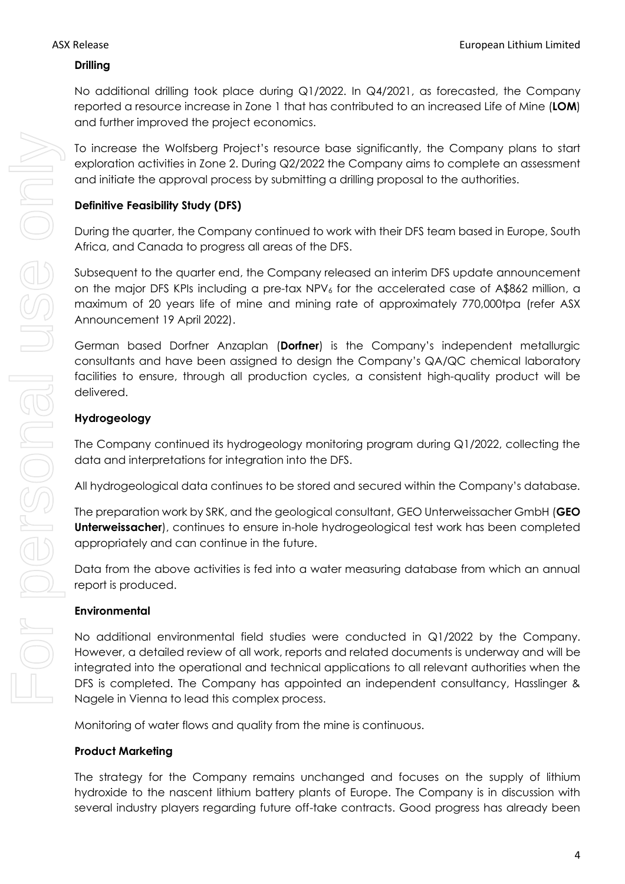#### **Drilling**

No additional drilling took place during Q1/2022. In Q4/2021, as forecasted, the Company reported a resource increase in Zone 1 that has contributed to an increased Life of Mine (**LOM**) and further improved the project economics.

To increase the Wolfsberg Project's resource base significantly, the Company plans to start exploration activities in Zone 2. During Q2/2022 the Company aims to complete an assessment and initiate the approval process by submitting a drilling proposal to the authorities.

# **Definitive Feasibility Study (DFS)**

During the quarter, the Company continued to work with their DFS team based in Europe, South Africa, and Canada to progress all areas of the DFS.

Subsequent to the quarter end, the Company released an interim DFS update announcement on the major DFS KPIs including a pre-tax NPV<sub>6</sub> for the accelerated case of A\$862 million, a maximum of 20 years life of mine and mining rate of approximately 770,000tpa (refer ASX Announcement 19 April 2022).

German based Dorfner Anzaplan (**Dorfner**) is the Company's independent metallurgic consultants and have been assigned to design the Company's QA/QC chemical laboratory facilities to ensure, through all production cycles, a consistent high-quality product will be delivered.

# **Hydrogeology**

The Company continued its hydrogeology monitoring program during Q1/2022, collecting the data and interpretations for integration into the DFS.

All hydrogeological data continues to be stored and secured within the Company's database.

The preparation work by SRK, and the geological consultant, GEO Unterweissacher GmbH (**GEO Unterweissacher**), continues to ensure in-hole hydrogeological test work has been completed appropriately and can continue in the future.

Data from the above activities is fed into a water measuring database from which an annual report is produced.

#### **Environmental**

No additional environmental field studies were conducted in Q1/2022 by the Company. However, a detailed review of all work, reports and related documents is underway and will be integrated into the operational and technical applications to all relevant authorities when the DFS is completed. The Company has appointed an independent consultancy, Hasslinger & Nagele in Vienna to lead this complex process.

Monitoring of water flows and quality from the mine is continuous.

#### **Product Marketing**

The strategy for the Company remains unchanged and focuses on the supply of lithium hydroxide to the nascent lithium battery plants of Europe. The Company is in discussion with several industry players regarding future off-take contracts. Good progress has already been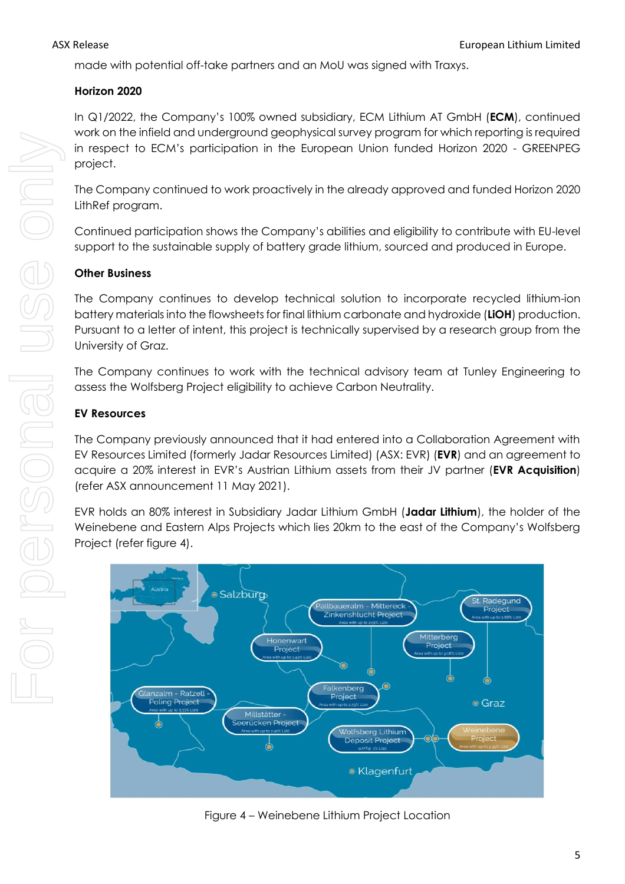made with potential off-take partners and an MoU was signed with Traxys.

# **Horizon 2020**

In Q1/2022, the Company's 100% owned subsidiary, ECM Lithium AT GmbH (**ECM**), continued work on the infield and underground geophysical survey program for which reporting is required in respect to ECM's participation in the European Union funded Horizon 2020 - GREENPEG project.

The Company continued to work proactively in the already approved and funded Horizon 2020 LithRef program.

Continued participation shows the Company's abilities and eligibility to contribute with EU-level support to the sustainable supply of battery grade lithium, sourced and produced in Europe.

# **Other Business**

The Company continues to develop technical solution to incorporate recycled lithium-ion battery materials into the flowsheets for final lithium carbonate and hydroxide (**LiOH**) production. Pursuant to a letter of intent, this project is technically supervised by a research group from the University of Graz.

The Company continues to work with the technical advisory team at Tunley Engineering to assess the Wolfsberg Project eligibility to achieve Carbon Neutrality.

# **EV Resources**

The Company previously announced that it had entered into a Collaboration Agreement with EV Resources Limited (formerly Jadar Resources Limited) (ASX: EVR) (**EVR**) and an agreement to acquire a 20% interest in EVR's Austrian Lithium assets from their JV partner (**EVR Acquisition**) (refer ASX announcement 11 May 2021).

EVR holds an 80% interest in Subsidiary Jadar Lithium GmbH (**Jadar Lithium**), the holder of the Weinebene and Eastern Alps Projects which lies 20km to the east of the Company's Wolfsberg Project (refer figure 4).



Figure 4 – Weinebene Lithium Project Location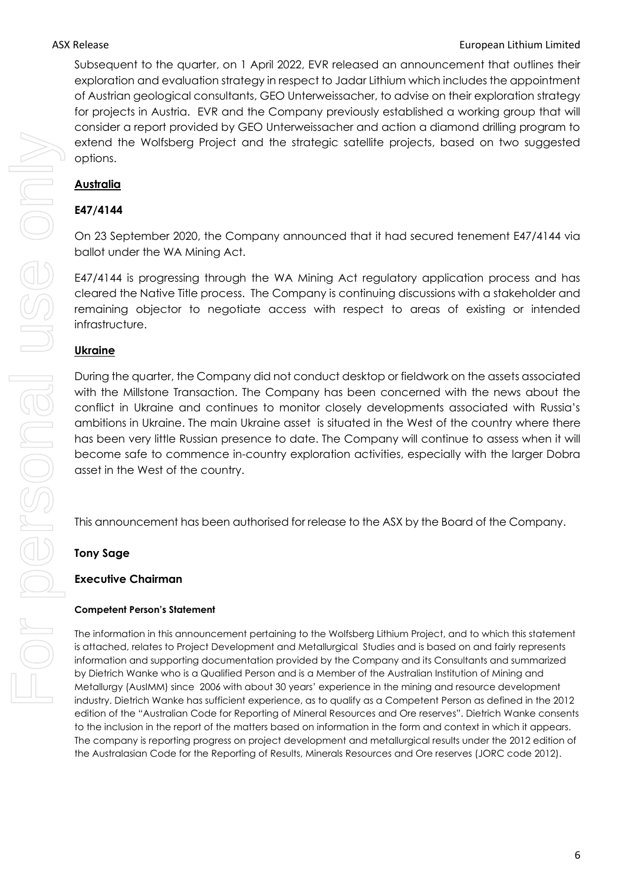Subsequent to the quarter, on 1 April 2022, EVR released an announcement that outlines their exploration and evaluation strategy in respect to Jadar Lithium which includes the appointment of Austrian geological consultants, GEO Unterweissacher, to advise on their exploration strategy for projects in Austria. EVR and the Company previously established a working group that will consider a report provided by GEO Unterweissacher and action a diamond drilling program to extend the Wolfsberg Project and the strategic satellite projects, based on two suggested options.

# **Australia**

# **E47/4144**

On 23 September 2020, the Company announced that it had secured tenement E47/4144 via ballot under the WA Mining Act.

E47/4144 is progressing through the WA Mining Act regulatory application process and has cleared the Native Title process. The Company is continuing discussions with a stakeholder and remaining objector to negotiate access with respect to areas of existing or intended infrastructure.

#### **Ukraine**

During the quarter, the Company did not conduct desktop or fieldwork on the assets associated with the Millstone Transaction. The Company has been concerned with the news about the conflict in Ukraine and continues to monitor closely developments associated with Russia's ambitions in Ukraine. The main Ukraine asset is situated in the West of the country where there has been very little Russian presence to date. The Company will continue to assess when it will become safe to commence in-country exploration activities, especially with the larger Dobra asset in the West of the country.

This announcement has been authorised for release to the ASX by the Board of the Company.

#### **Tony Sage**

#### **Executive Chairman**

#### **Competent Person's Statement**

The information in this announcement pertaining to the Wolfsberg Lithium Project, and to which this statement is attached, relates to Project Development and Metallurgical Studies and is based on and fairly represents information and supporting documentation provided by the Company and its Consultants and summarized by Dietrich Wanke who is a Qualified Person and is a Member of the Australian Institution of Mining and Metallurgy (AusIMM) since 2006 with about 30 years' experience in the mining and resource development industry. Dietrich Wanke has sufficient experience, as to qualify as a Competent Person as defined in the 2012 edition of the "Australian Code for Reporting of Mineral Resources and Ore reserves". Dietrich Wanke consents to the inclusion in the report of the matters based on information in the form and context in which it appears. The company is reporting progress on project development and metallurgical results under the 2012 edition of the Australasian Code for the Reporting of Results, Minerals Resources and Ore reserves (JORC code 2012).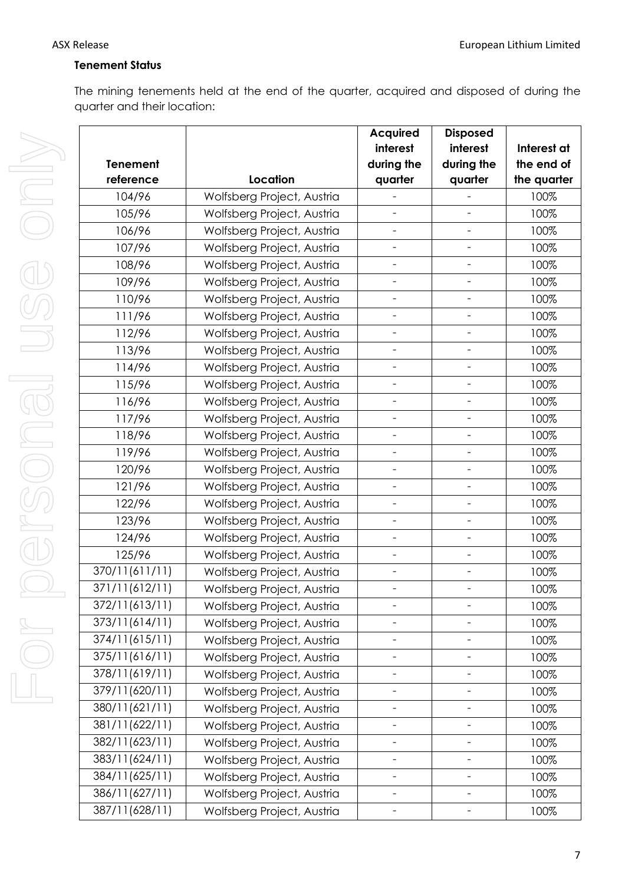# **Tenement Status**

The mining tenements held at the end of the quarter, acquired and disposed of during the quarter and their location:

|                 |                            | <b>Acquired</b>          | <b>Disposed</b>              |             |
|-----------------|----------------------------|--------------------------|------------------------------|-------------|
|                 |                            | interest                 | interest                     | Interest at |
| <b>Tenement</b> |                            | during the               | during the                   | the end of  |
| reference       | Location                   | quarter                  | quarter                      | the quarter |
| 104/96          | Wolfsberg Project, Austria |                          |                              | 100%        |
| 105/96          | Wolfsberg Project, Austria | $\overline{\phantom{0}}$ |                              | 100%        |
| 106/96          | Wolfsberg Project, Austria | $\overline{\phantom{0}}$ | $\qquad \qquad -$            | 100%        |
| 107/96          | Wolfsberg Project, Austria | $\overline{\phantom{0}}$ | $\overline{\phantom{a}}$     | 100%        |
| 108/96          | Wolfsberg Project, Austria | $\overline{\phantom{a}}$ | $\overline{\phantom{a}}$     | 100%        |
| 109/96          | Wolfsberg Project, Austria | $\overline{\phantom{a}}$ | $\qquad \qquad -$            | 100%        |
| 110/96          | Wolfsberg Project, Austria | $\overline{\phantom{a}}$ | $\qquad \qquad -$            | 100%        |
| 111/96          | Wolfsberg Project, Austria | $\overline{\phantom{0}}$ |                              | 100%        |
| 112/96          | Wolfsberg Project, Austria | $\overline{\phantom{a}}$ | $\overline{a}$               | 100%        |
| 113/96          | Wolfsberg Project, Austria | $\overline{\phantom{0}}$ | $\qquad \qquad -$            | 100%        |
| 114/96          | Wolfsberg Project, Austria | $\overline{\phantom{0}}$ | $\overline{\phantom{a}}$     | 100%        |
| 115/96          | Wolfsberg Project, Austria | $\overline{\phantom{a}}$ | $\overline{\phantom{a}}$     | 100%        |
| 116/96          | Wolfsberg Project, Austria | $\overline{\phantom{a}}$ | $\overline{\phantom{a}}$     | 100%        |
| 117/96          | Wolfsberg Project, Austria | $\overline{\phantom{a}}$ | $\qquad \qquad -$            | 100%        |
| 118/96          | Wolfsberg Project, Austria |                          |                              | 100%        |
| 119/96          | Wolfsberg Project, Austria | $\overline{\phantom{a}}$ | $\overline{\phantom{a}}$     | 100%        |
| 120/96          | Wolfsberg Project, Austria | $\overline{\phantom{a}}$ | $\qquad \qquad -$            | 100%        |
| 121/96          | Wolfsberg Project, Austria | $\overline{\phantom{0}}$ | $\overline{\phantom{0}}$     | 100%        |
| 122/96          | Wolfsberg Project, Austria | $\overline{\phantom{a}}$ | $\overline{\phantom{a}}$     | 100%        |
| 123/96          | Wolfsberg Project, Austria | $\overline{\phantom{a}}$ | $\qquad \qquad -$            | 100%        |
| 124/96          | Wolfsberg Project, Austria | $\overline{\phantom{a}}$ | $\qquad \qquad -$            | 100%        |
| 125/96          | Wolfsberg Project, Austria | $\overline{\phantom{0}}$ |                              | 100%        |
| 370/11(611/11)  | Wolfsberg Project, Austria | $\overline{\phantom{a}}$ | $\overline{\phantom{a}}$     | 100%        |
| 371/11(612/11)  | Wolfsberg Project, Austria | $\overline{\phantom{a}}$ | $\qquad \qquad -$            | 100%        |
| 372/11(613/11)  | Wolfsberg Project, Austria |                          |                              | 100%        |
| 373/11(614/11)  | Wolfsberg Project, Austria |                          |                              | 100%        |
| 374/11(615/11)  | Wolfsberg Project, Austria | $\overline{\phantom{0}}$ | $\qquad \qquad -$            | 100%        |
| 375/11(616/11)  | Wolfsberg Project, Austria |                          | $\overline{\phantom{0}}$     | 100%        |
| 378/11(619/11)  | Wolfsberg Project, Austria | $\overline{a}$           | $\overline{\phantom{0}}$     | 100%        |
| 379/11(620/11)  | Wolfsberg Project, Austria | $\overline{\phantom{0}}$ | $\qquad \qquad -$            | 100%        |
| 380/11(621/11)  | Wolfsberg Project, Austria | $\qquad \qquad -$        | $\overline{\phantom{a}}$     | 100%        |
| 381/11(622/11)  | Wolfsberg Project, Austria | $\qquad \qquad -$        | $\overline{\phantom{a}}$     | 100%        |
| 382/11(623/11)  | Wolfsberg Project, Austria | $\overline{\phantom{0}}$ | $\overline{\phantom{0}}$     | 100%        |
| 383/11(624/11)  | Wolfsberg Project, Austria | $\overline{\phantom{0}}$ | $\qquad \qquad \blacksquare$ | 100%        |
| 384/11(625/11)  | Wolfsberg Project, Austria | $\overline{\phantom{0}}$ | $\qquad \qquad -$            | 100%        |
| 386/11(627/11)  | Wolfsberg Project, Austria | $\frac{1}{2}$            | $\overline{\phantom{0}}$     | 100%        |
| 387/11(628/11)  | Wolfsberg Project, Austria | -                        | -                            | 100%        |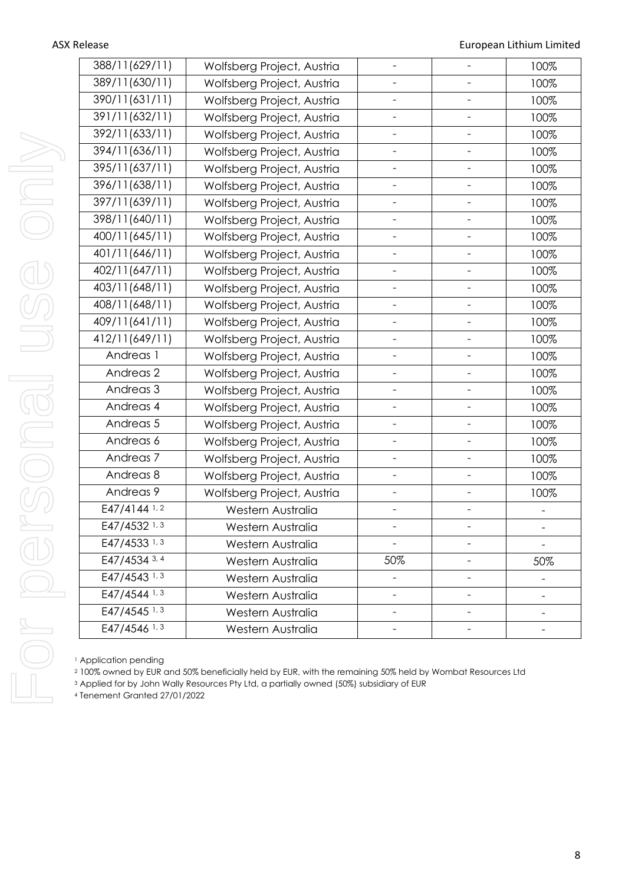| 388/11(629/11)       | Wolfsberg Project, Austria | $\overline{\phantom{0}}$ | 100% |
|----------------------|----------------------------|--------------------------|------|
| 389/11(630/11)       | Wolfsberg Project, Austria |                          | 100% |
| 390/11(631/11)       | Wolfsberg Project, Austria |                          | 100% |
| 391/11(632/11)       | Wolfsberg Project, Austria |                          | 100% |
| 392/11(633/11)       | Wolfsberg Project, Austria |                          | 100% |
| 394/11(636/11)       | Wolfsberg Project, Austria |                          | 100% |
| 395/11(637/11)       | Wolfsberg Project, Austria |                          | 100% |
| 396/11(638/11)       | Wolfsberg Project, Austria |                          | 100% |
| 397/11(639/11)       | Wolfsberg Project, Austria |                          | 100% |
| 398/11(640/11)       | Wolfsberg Project, Austria |                          | 100% |
| 400/11(645/11)       | Wolfsberg Project, Austria |                          | 100% |
| 401/11(646/11)       | Wolfsberg Project, Austria |                          | 100% |
| 402/11(647/11)       | Wolfsberg Project, Austria |                          | 100% |
| 403/11(648/11)       | Wolfsberg Project, Austria |                          | 100% |
| 408/11(648/11)       | Wolfsberg Project, Austria |                          | 100% |
| 409/11(641/11)       | Wolfsberg Project, Austria |                          | 100% |
| 412/11(649/11)       | Wolfsberg Project, Austria |                          | 100% |
| Andreas 1            | Wolfsberg Project, Austria |                          | 100% |
| Andreas <sub>2</sub> | Wolfsberg Project, Austria |                          | 100% |
| Andreas <sub>3</sub> | Wolfsberg Project, Austria |                          | 100% |
| Andreas 4            | Wolfsberg Project, Austria |                          | 100% |
| Andreas 5            | Wolfsberg Project, Austria | $\overline{\phantom{0}}$ | 100% |
| Andreas 6            | Wolfsberg Project, Austria |                          | 100% |
| Andreas <sub>7</sub> | Wolfsberg Project, Austria |                          | 100% |
| Andreas 8            | Wolfsberg Project, Austria | $\overline{\phantom{0}}$ | 100% |
| Andreas 9            | Wolfsberg Project, Austria |                          | 100% |
| E47/4144 1,2         | Western Australia          |                          |      |
| E47/4532 1, 3        | Western Australia          |                          |      |
| E47/4533 1, 3        | Western Australia          |                          |      |
| E47/4534 3, 4        | Western Australia          | 50%                      | 50%  |
| E47/4543 1, 3        | Western Australia          |                          |      |
| E47/4544 1, 3        | Western Australia          |                          |      |
| E47/4545 1, 3        | Western Australia          |                          |      |
| E47/4546 1, 3        | Western Australia          |                          |      |

<sup>1</sup> Application pending

<sup>2</sup> 100% owned by EUR and 50% beneficially held by EUR, with the remaining 50% held by Wombat Resources Ltd

<sup>3</sup> Applied for by John Wally Resources Pty Ltd, a partially owned (50%) subsidiary of EUR

4 Tenement Granted 27/01/2022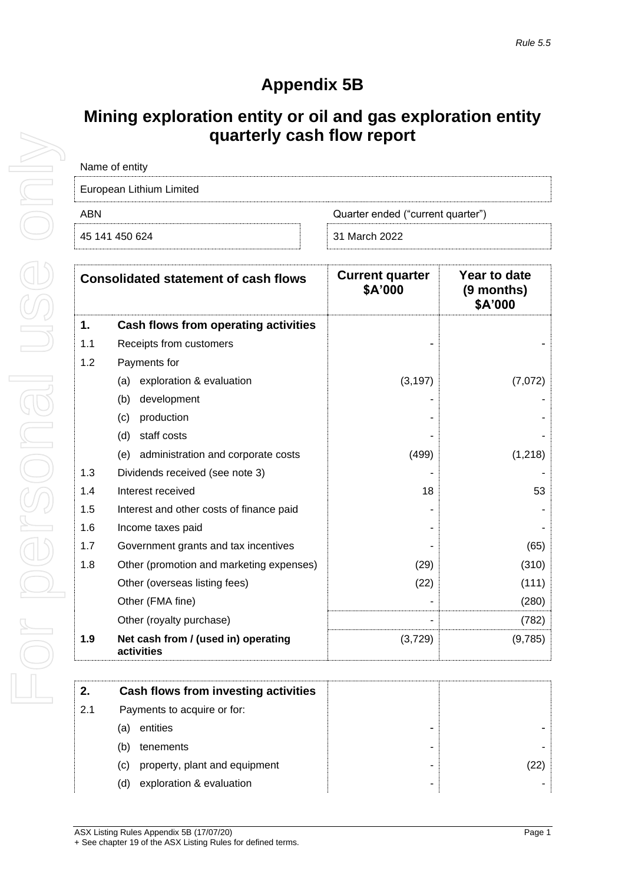# **Appendix 5B**

# **Mining exploration entity or oil and gas exploration entity quarterly cash flow report**

| Name of entity           |                                   |
|--------------------------|-----------------------------------|
| European Lithium Limited |                                   |
| ARN                      | Quarter ended ("current quarter") |
| 45 141 450 624           | 31 March 2022                     |

|     | <b>Consolidated statement of cash flows</b>       | <b>Current quarter</b><br>\$A'000 | Year to date<br>(9 months)<br>\$A'000 |
|-----|---------------------------------------------------|-----------------------------------|---------------------------------------|
| 1.  | Cash flows from operating activities              |                                   |                                       |
| 1.1 | Receipts from customers                           |                                   |                                       |
| 1.2 | Payments for                                      |                                   |                                       |
|     | exploration & evaluation<br>(a)                   | (3, 197)                          | (7,072)                               |
|     | (b)<br>development                                |                                   |                                       |
|     | production<br>(c)                                 |                                   |                                       |
|     | (d)<br>staff costs                                |                                   |                                       |
|     | administration and corporate costs<br>(e)         | (499)                             | (1,218)                               |
| 1.3 | Dividends received (see note 3)                   |                                   |                                       |
| 1.4 | Interest received                                 | 18                                | 53                                    |
| 1.5 | Interest and other costs of finance paid          |                                   |                                       |
| 1.6 | Income taxes paid                                 |                                   |                                       |
| 1.7 | Government grants and tax incentives              |                                   | (65)                                  |
| 1.8 | Other (promotion and marketing expenses)          | (29)                              | (310)                                 |
|     | Other (overseas listing fees)                     | (22)                              | (111)                                 |
|     | Other (FMA fine)                                  |                                   | (280)                                 |
|     | Other (royalty purchase)                          |                                   | (782)                                 |
| 1.9 | Net cash from / (used in) operating<br>activities | (3,729)                           | (9,785)                               |

| 2.  | Cash flows from investing activities |  |
|-----|--------------------------------------|--|
| 2.1 | Payments to acquire or for:          |  |
| la: | entities                             |  |
| (b) | tenements                            |  |
| (C) | property, plant and equipment        |  |
| (d) | exploration & evaluation             |  |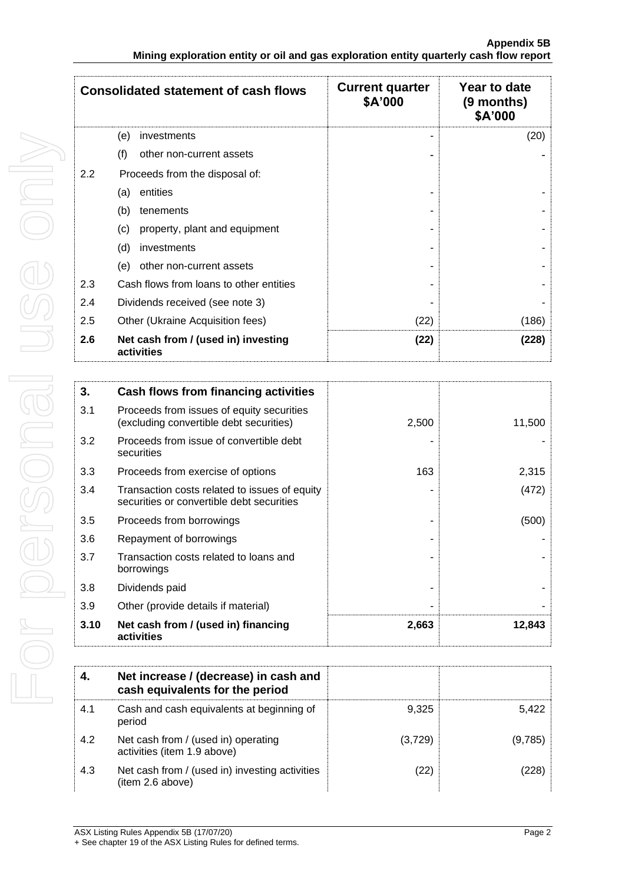|     | <b>Consolidated statement of cash flows</b>       | <b>Current quarter</b><br>\$A'000 | Year to date<br>(9 months)<br>\$A'000 |
|-----|---------------------------------------------------|-----------------------------------|---------------------------------------|
|     | (e)<br>investments                                | -                                 | (20)                                  |
|     | (f)<br>other non-current assets                   |                                   |                                       |
| 2.2 | Proceeds from the disposal of:                    |                                   |                                       |
|     | entities<br>(a)                                   |                                   |                                       |
|     | (b)<br>tenements                                  |                                   |                                       |
|     | (c)<br>property, plant and equipment              |                                   |                                       |
|     | (d)<br>investments                                |                                   |                                       |
|     | other non-current assets<br>(e)                   |                                   |                                       |
| 2.3 | Cash flows from loans to other entities           |                                   |                                       |
| 2.4 | Dividends received (see note 3)                   |                                   |                                       |
| 2.5 | Other (Ukraine Acquisition fees)                  | (22)                              | (186)                                 |
| 2.6 | Net cash from / (used in) investing<br>activities | (22)                              | (228)                                 |

| 3.   | Cash flows from financing activities                                                       |       |        |
|------|--------------------------------------------------------------------------------------------|-------|--------|
| 3.1  | Proceeds from issues of equity securities<br>(excluding convertible debt securities)       | 2,500 | 11,500 |
| 3.2  | Proceeds from issue of convertible debt<br>securities                                      |       |        |
| 3.3  | Proceeds from exercise of options                                                          | 163   | 2,315  |
| 3.4  | Transaction costs related to issues of equity<br>securities or convertible debt securities |       | (472)  |
| 3.5  | Proceeds from borrowings                                                                   |       | (500)  |
| 3.6  | Repayment of borrowings                                                                    |       |        |
| 3.7  | Transaction costs related to loans and<br>borrowings                                       |       |        |
| 3.8  | Dividends paid                                                                             |       |        |
| 3.9  | Other (provide details if material)                                                        |       |        |
| 3.10 | Net cash from / (used in) financing<br>activities                                          | 2,663 | 12,843 |

| 4.  | Net increase / (decrease) in cash and<br>cash equivalents for the period |         |         |
|-----|--------------------------------------------------------------------------|---------|---------|
| 4.1 | Cash and cash equivalents at beginning of<br>period                      | 9.325   | 5.422   |
| 4.2 | Net cash from / (used in) operating<br>activities (item 1.9 above)       | (3,729) | (9,785) |
| 4.3 | Net cash from / (used in) investing activities<br>(item 2.6 above)       | (22)    | 228     |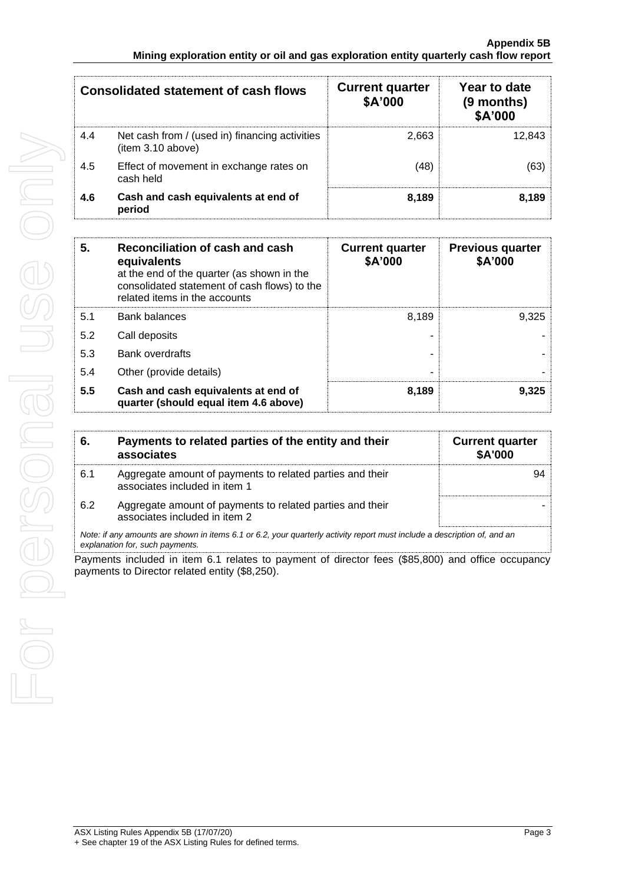|     | Consolidated statement of cash flows                                | <b>Current quarter</b><br>\$A'000 | Year to date<br>(9 months)<br>\$A'000 |
|-----|---------------------------------------------------------------------|-----------------------------------|---------------------------------------|
| 4.4 | Net cash from / (used in) financing activities<br>(item 3.10 above) | 2.663                             | 12.843                                |
| 4.5 | Effect of movement in exchange rates on<br>cash held                | (48)                              |                                       |
| 4.6 | Cash and cash equivalents at end of<br>period                       | 8.189                             | 8.189                                 |

| 5.  | Reconciliation of cash and cash<br>equivalents<br>at the end of the quarter (as shown in the<br>consolidated statement of cash flows) to the<br>related items in the accounts | <b>Current quarter</b><br>\$A'000 | <b>Previous quarter</b><br>\$A'000 |
|-----|-------------------------------------------------------------------------------------------------------------------------------------------------------------------------------|-----------------------------------|------------------------------------|
| 5.1 | <b>Bank balances</b>                                                                                                                                                          | 8,189                             | 9.325                              |
| 5.2 | Call deposits                                                                                                                                                                 |                                   |                                    |
| 5.3 | <b>Bank overdrafts</b>                                                                                                                                                        |                                   |                                    |
| 5.4 | Other (provide details)                                                                                                                                                       |                                   |                                    |
| 5.5 | Cash and cash equivalents at end of<br>quarter (should equal item 4.6 above)                                                                                                  | 8,189                             | 9.325                              |

| 6.  | Payments to related parties of the entity and their<br>associates                                                                                           | <b>Current quarter</b><br>\$A'000 |
|-----|-------------------------------------------------------------------------------------------------------------------------------------------------------------|-----------------------------------|
| 6.1 | Aggregate amount of payments to related parties and their<br>associates included in item 1                                                                  |                                   |
| 6.2 | Aggregate amount of payments to related parties and their<br>associates included in item 2                                                                  |                                   |
|     | Note: if any amounts are shown in items 6.1 or 6.2, your quarterly activity report must include a description of, and an<br>explanation for, such payments. |                                   |

Payments included in item 6.1 relates to payment of director fees (\$85,800) and office occupancy payments to Director related entity (\$8,250).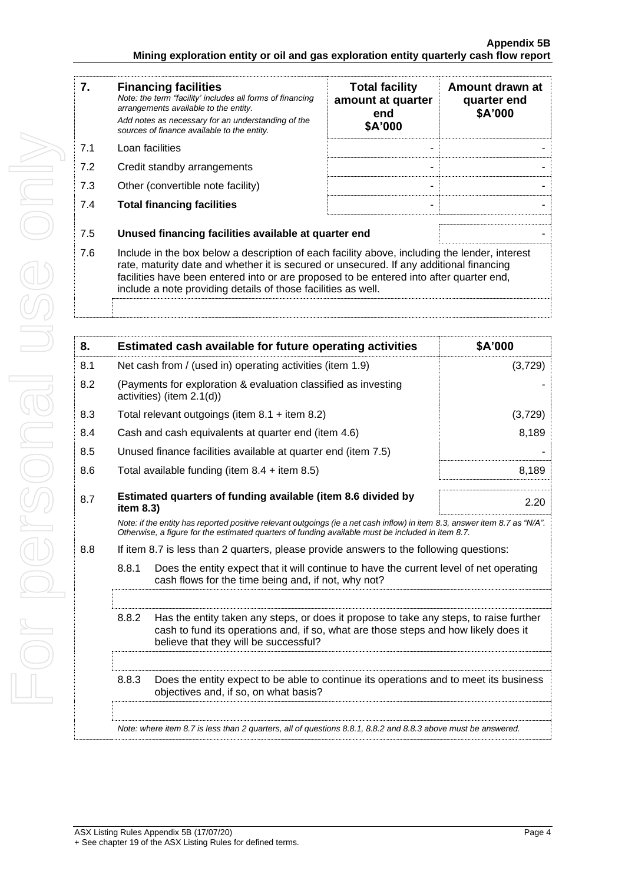| 7.  | <b>Financing facilities</b><br>Note: the term "facility' includes all forms of financing<br>arrangements available to the entity.<br>Add notes as necessary for an understanding of the<br>sources of finance available to the entity.                                                                                                               | <b>Total facility</b><br>amount at quarter<br>end<br>\$A'000 | Amount drawn at<br>quarter end<br>\$A'000 |
|-----|------------------------------------------------------------------------------------------------------------------------------------------------------------------------------------------------------------------------------------------------------------------------------------------------------------------------------------------------------|--------------------------------------------------------------|-------------------------------------------|
| 7.1 | Loan facilities                                                                                                                                                                                                                                                                                                                                      |                                                              |                                           |
| 7.2 | Credit standby arrangements                                                                                                                                                                                                                                                                                                                          |                                                              |                                           |
| 7.3 | Other (convertible note facility)                                                                                                                                                                                                                                                                                                                    |                                                              |                                           |
| 7.4 | <b>Total financing facilities</b>                                                                                                                                                                                                                                                                                                                    |                                                              |                                           |
| 7.5 | Unused financing facilities available at quarter end                                                                                                                                                                                                                                                                                                 |                                                              |                                           |
| 7.6 | Include in the box below a description of each facility above, including the lender, interest<br>rate, maturity date and whether it is secured or unsecured. If any additional financing<br>facilities have been entered into or are proposed to be entered into after quarter end,<br>include a note providing details of those facilities as well. |                                                              |                                           |

| 8.  |                                                                                                                                                                                                                                 | Estimated cash available for future operating activities                                                                       | \$A'000 |  |
|-----|---------------------------------------------------------------------------------------------------------------------------------------------------------------------------------------------------------------------------------|--------------------------------------------------------------------------------------------------------------------------------|---------|--|
| 8.1 | Net cash from / (used in) operating activities (item 1.9)                                                                                                                                                                       |                                                                                                                                | (3,729) |  |
| 8.2 |                                                                                                                                                                                                                                 | (Payments for exploration & evaluation classified as investing<br>activities) (item 2.1(d))                                    |         |  |
| 8.3 |                                                                                                                                                                                                                                 | Total relevant outgoings (item $8.1 +$ item $8.2$ )<br>(3,729)                                                                 |         |  |
| 8.4 | Cash and cash equivalents at quarter end (item 4.6)<br>8,189                                                                                                                                                                    |                                                                                                                                |         |  |
| 8.5 | Unused finance facilities available at quarter end (item 7.5)                                                                                                                                                                   |                                                                                                                                |         |  |
| 8.6 | Total available funding (item $8.4 +$ item $8.5$ )<br>8,189                                                                                                                                                                     |                                                                                                                                |         |  |
| 8.7 | Estimated quarters of funding available (item 8.6 divided by<br>item 8.3)                                                                                                                                                       |                                                                                                                                | 2.20    |  |
|     | Note: if the entity has reported positive relevant outgoings (ie a net cash inflow) in item 8.3, answer item 8.7 as "N/A".<br>Otherwise, a figure for the estimated quarters of funding available must be included in item 8.7. |                                                                                                                                |         |  |
| 8.8 | If item 8.7 is less than 2 quarters, please provide answers to the following questions:                                                                                                                                         |                                                                                                                                |         |  |
|     | 8.8.1<br>Does the entity expect that it will continue to have the current level of net operating<br>cash flows for the time being and, if not, why not?                                                                         |                                                                                                                                |         |  |
|     |                                                                                                                                                                                                                                 |                                                                                                                                |         |  |
|     | 8.8.2<br>Has the entity taken any steps, or does it propose to take any steps, to raise further<br>cash to fund its operations and, if so, what are those steps and how likely does it<br>believe that they will be successful? |                                                                                                                                |         |  |
|     |                                                                                                                                                                                                                                 |                                                                                                                                |         |  |
|     | 8.8.3                                                                                                                                                                                                                           | Does the entity expect to be able to continue its operations and to meet its business<br>objectives and, if so, on what basis? |         |  |
|     | Note: where item 8.7 is less than 2 quarters, all of questions 8.8.1, 8.8.2 and 8.8.3 above must be answered.                                                                                                                   |                                                                                                                                |         |  |
|     |                                                                                                                                                                                                                                 |                                                                                                                                |         |  |